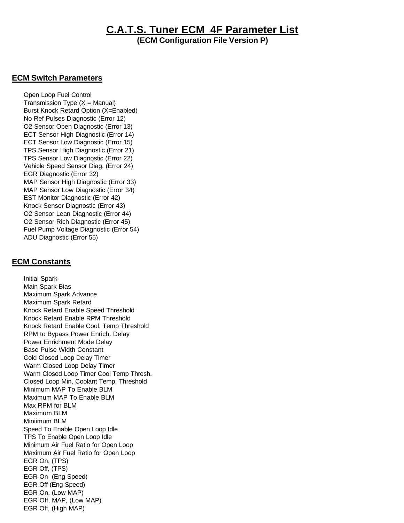## **C.A.T.S. Tuner ECM\_4F Parameter List**

**(ECM Configuration File Version P)**

## **ECM Switch Parameters**

 Open Loop Fuel Control Transmission Type  $(X =$  Manual) Burst Knock Retard Option (X=Enabled) No Ref Pulses Diagnostic (Error 12) O2 Sensor Open Diagnostic (Error 13) ECT Sensor High Diagnostic (Error 14) ECT Sensor Low Diagnostic (Error 15) TPS Sensor High Diagnostic (Error 21) TPS Sensor Low Diagnostic (Error 22) Vehicle Speed Sensor Diag. (Error 24) EGR Diagnostic (Error 32) MAP Sensor High Diagnostic (Error 33) MAP Sensor Low Diagnostic (Error 34) EST Monitor Diagnostic (Error 42) Knock Sensor Diagnostic (Error 43) O2 Sensor Lean Diagnostic (Error 44) O2 Sensor Rich Diagnostic (Error 45) Fuel Pump Voltage Diagnostic (Error 54) ADU Diagnostic (Error 55)

## **ECM Constants**

 Initial Spark Main Spark Bias Maximum Spark Advance Maximum Spark Retard Knock Retard Enable Speed Threshold Knock Retard Enable RPM Threshold Knock Retard Enable Cool. Temp Threshold RPM to Bypass Power Enrich. Delay Power Enrichment Mode Delay Base Pulse Width Constant Cold Closed Loop Delay Timer Warm Closed Loop Delay Timer Warm Closed Loop Timer Cool Temp Thresh. Closed Loop Min. Coolant Temp. Threshold Minimum MAP To Enable BLM Maximum MAP To Enable BLM Max RPM for BLM Maximum BLM Miniimum BLM Speed To Enable Open Loop Idle TPS To Enable Open Loop Idle Minimum Air Fuel Ratio for Open Loop Maximum Air Fuel Ratio for Open Loop EGR On, (TPS) EGR Off, (TPS) EGR On (Eng Speed) EGR Off (Eng Speed) EGR On, (Low MAP) EGR Off, MAP, (Low MAP) EGR Off, (High MAP)